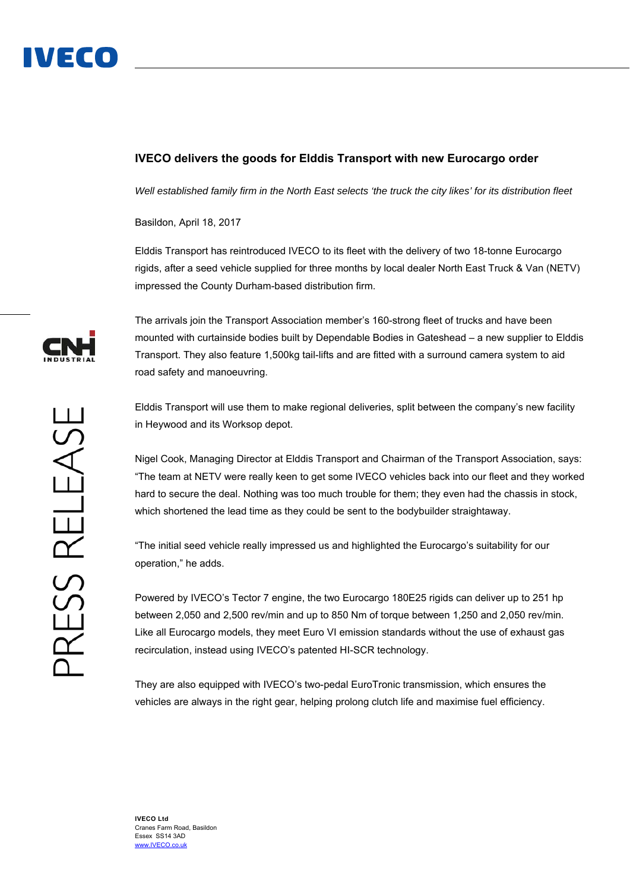

## **IVECO delivers the goods for Elddis Transport with new Eurocargo order**

*Well established family firm in the North East selects 'the truck the city likes' for its distribution fleet* 

Basildon, April 18, 2017

Elddis Transport has reintroduced IVECO to its fleet with the delivery of two 18-tonne Eurocargo rigids, after a seed vehicle supplied for three months by local dealer North East Truck & Van (NETV) impressed the County Durham-based distribution firm.

The arrivals join the Transport Association member's 160-strong fleet of trucks and have been mounted with curtainside bodies built by Dependable Bodies in Gateshead – a new supplier to Elddis Transport. They also feature 1,500kg tail-lifts and are fitted with a surround camera system to aid road safety and manoeuvring.

Elddis Transport will use them to make regional deliveries, split between the company's new facility in Heywood and its Worksop depot.

Nigel Cook, Managing Director at Elddis Transport and Chairman of the Transport Association, says: "The team at NETV were really keen to get some IVECO vehicles back into our fleet and they worked hard to secure the deal. Nothing was too much trouble for them; they even had the chassis in stock, which shortened the lead time as they could be sent to the bodybuilder straightaway.

"The initial seed vehicle really impressed us and highlighted the Eurocargo's suitability for our operation," he adds.

Powered by IVECO's Tector 7 engine, the two Eurocargo 180E25 rigids can deliver up to 251 hp between 2,050 and 2,500 rev/min and up to 850 Nm of torque between 1,250 and 2,050 rev/min. Like all Eurocargo models, they meet Euro VI emission standards without the use of exhaust gas recirculation, instead using IVECO's patented HI-SCR technology.

They are also equipped with IVECO's two-pedal EuroTronic transmission, which ensures the vehicles are always in the right gear, helping prolong clutch life and maximise fuel efficiency.

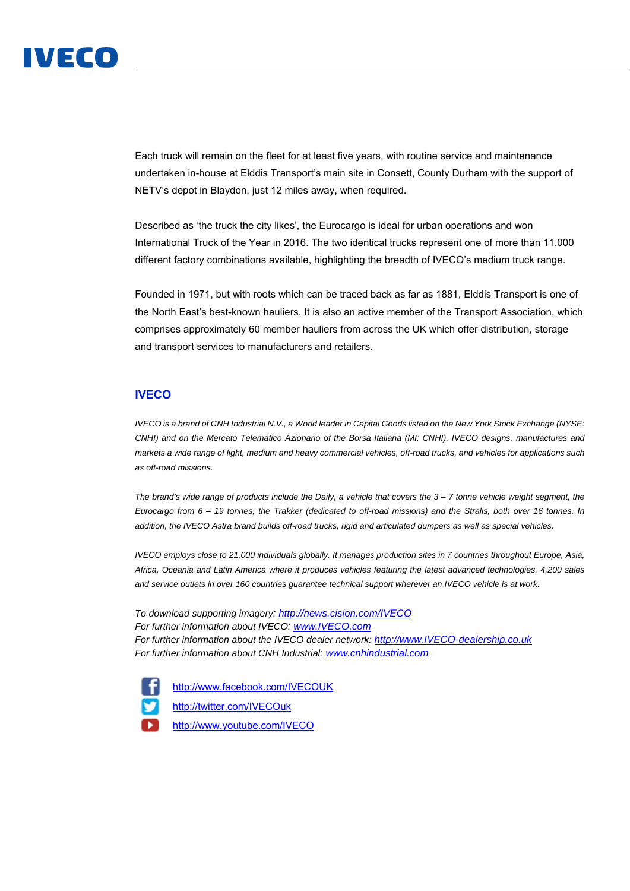

Each truck will remain on the fleet for at least five years, with routine service and maintenance undertaken in-house at Elddis Transport's main site in Consett, County Durham with the support of NETV's depot in Blaydon, just 12 miles away, when required.

Described as 'the truck the city likes', the Eurocargo is ideal for urban operations and won International Truck of the Year in 2016. The two identical trucks represent one of more than 11,000 different factory combinations available, highlighting the breadth of IVECO's medium truck range.

Founded in 1971, but with roots which can be traced back as far as 1881, Elddis Transport is one of the North East's best-known hauliers. It is also an active member of the Transport Association, which comprises approximately 60 member hauliers from across the UK which offer distribution, storage and transport services to manufacturers and retailers.

## **IVECO**

*IVECO is a brand of CNH Industrial N.V., a World leader in Capital Goods listed on the New York Stock Exchange (NYSE: CNHI) and on the Mercato Telematico Azionario of the Borsa Italiana (MI: CNHI). IVECO designs, manufactures and markets a wide range of light, medium and heavy commercial vehicles, off-road trucks, and vehicles for applications such as off-road missions.* 

*The brand's wide range of products include the Daily, a vehicle that covers the 3 – 7 tonne vehicle weight segment, the Eurocargo from 6 – 19 tonnes, the Trakker (dedicated to off-road missions) and the Stralis, both over 16 tonnes. In addition, the IVECO Astra brand builds off-road trucks, rigid and articulated dumpers as well as special vehicles.* 

*IVECO employs close to 21,000 individuals globally. It manages production sites in 7 countries throughout Europe, Asia, Africa, Oceania and Latin America where it produces vehicles featuring the latest advanced technologies. 4,200 sales and service outlets in over 160 countries guarantee technical support wherever an IVECO vehicle is at work.* 

*To download supporting imagery: http://news.cision.com/IVECO For further information about IVECO: www.IVECO.com For further information about the IVECO dealer network: http://www.IVECO-dealership.co.uk For further information about CNH Industrial: www.cnhindustrial.com*

http://www.facebook.com/IVECOUK http://twitter.com/IVECOuk http://www.youtube.com/IVECO